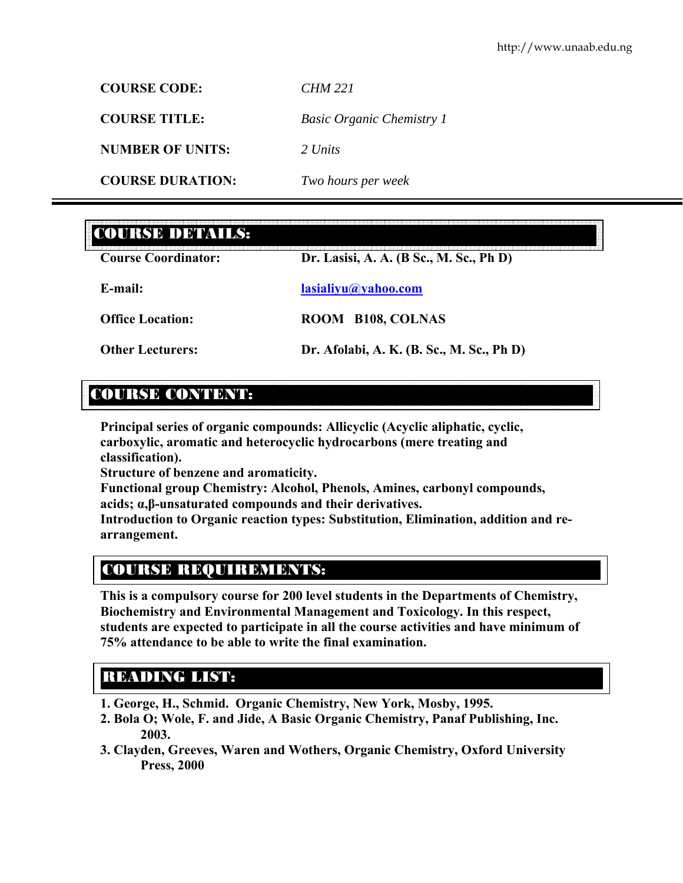**COURSE CODE:** *CHM 221* **COURSE TITLE:** *Basic Organic Chemistry 1*  **NUMBER OF UNITS:** *2 Units*  **COURSE DURATION:** *Two hours per week* 

# COURSE DETAILS:

| <b>Course Coordinator:</b> | Dr. Lasisi, A. A. (B Sc., M. Sc., Ph D)   |  |
|----------------------------|-------------------------------------------|--|
| E-mail:                    | lasialiyu@yahoo.com                       |  |
| <b>Office Location:</b>    | ROOM B108, COLNAS                         |  |
| <b>Other Lecturers:</b>    | Dr. Afolabi, A. K. (B. Sc., M. Sc., Ph D) |  |

# COURSE CONTENT:

**Principal series of organic compounds: Allicyclic (Acyclic aliphatic, cyclic, carboxylic, aromatic and heterocyclic hydrocarbons (mere treating and classification).** 

**Structure of benzene and aromaticity.** 

**Functional group Chemistry: Alcohol, Phenols, Amines, carbonyl compounds, acids; α,β-unsaturated compounds and their derivatives.** 

**Introduction to Organic reaction types: Substitution, Elimination, addition and rearrangement.** 

# COURSE REQUIREMENTS:

**This is a compulsory course for 200 level students in the Departments of Chemistry, Biochemistry and Environmental Management and Toxicology. In this respect, students are expected to participate in all the course activities and have minimum of 75% attendance to be able to write the final examination.** 

# READING LIST:

- **1. George, H., Schmid. Organic Chemistry, New York, Mosby, 1995.**
- **2. Bola O; Wole, F. and Jide, A Basic Organic Chemistry, Panaf Publishing, Inc. 2003.**
- **3. Clayden, Greeves, Waren and Wothers, Organic Chemistry, Oxford University Press, 2000**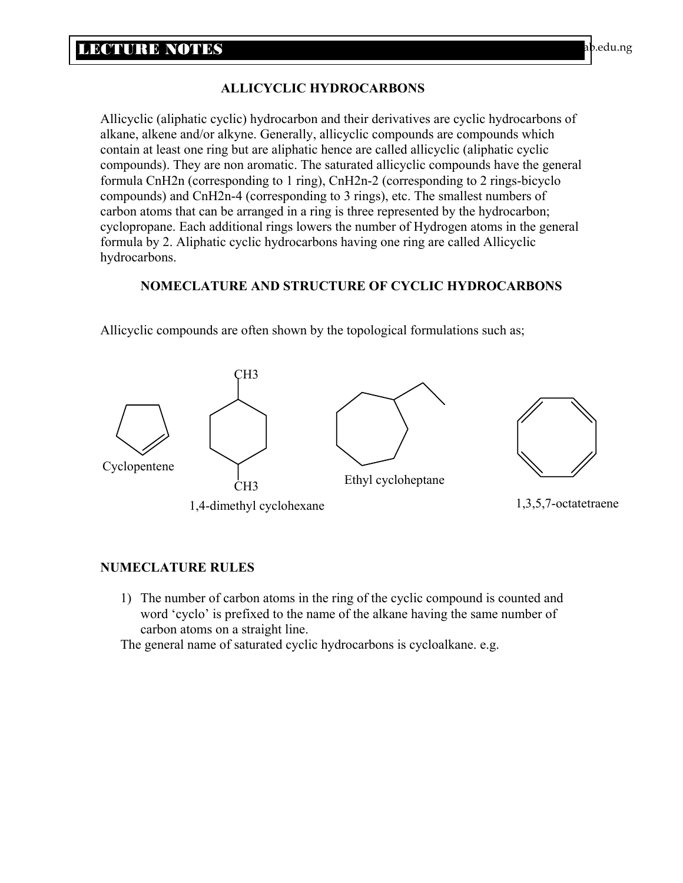# **ALLICYCLIC HYDROCARBONS**

Allicyclic (aliphatic cyclic) hydrocarbon and their derivatives are cyclic hydrocarbons of alkane, alkene and/or alkyne. Generally, allicyclic compounds are compounds which contain at least one ring but are aliphatic hence are called allicyclic (aliphatic cyclic compounds). They are non aromatic. The saturated allicyclic compounds have the general formula CnH2n (corresponding to 1 ring), CnH2n-2 (corresponding to 2 rings-bicyclo compounds) and CnH2n-4 (corresponding to 3 rings), etc. The smallest numbers of carbon atoms that can be arranged in a ring is three represented by the hydrocarbon; cyclopropane. Each additional rings lowers the number of Hydrogen atoms in the general formula by 2. Aliphatic cyclic hydrocarbons having one ring are called Allicyclic hydrocarbons.

# **NOMECLATURE AND STRUCTURE OF CYCLIC HYDROCARBONS**



Allicyclic compounds are often shown by the topological formulations such as;

# **NUMECLATURE RULES**

1) The number of carbon atoms in the ring of the cyclic compound is counted and word 'cyclo' is prefixed to the name of the alkane having the same number of carbon atoms on a straight line.

The general name of saturated cyclic hydrocarbons is cycloalkane. e.g.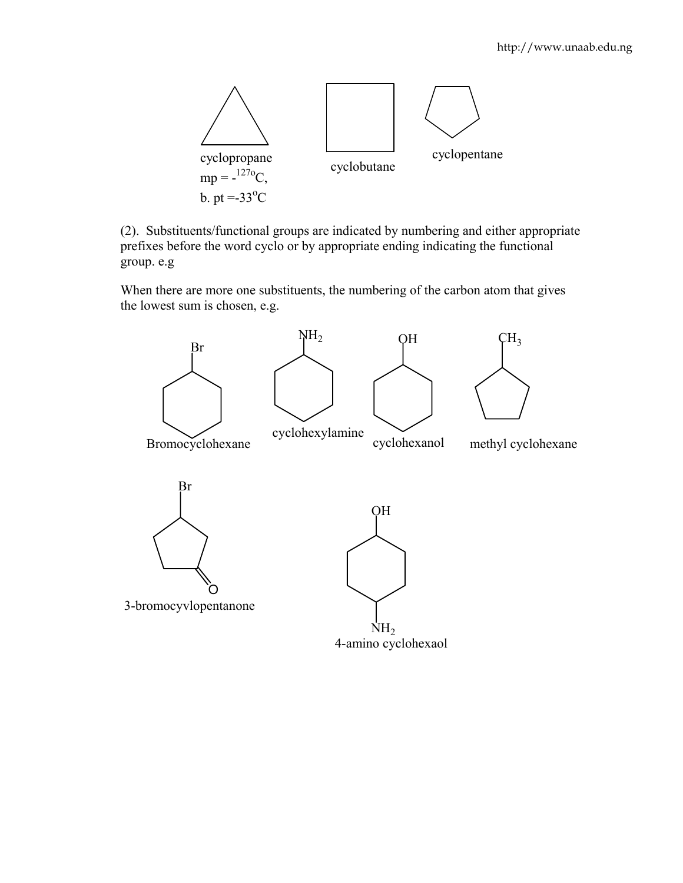

(2). Substituents/functional groups are indicated by numbering and either appropriate prefixes before the word cyclo or by appropriate ending indicating the functional group. e.g

When there are more one substituents, the numbering of the carbon atom that gives the lowest sum is chosen, e.g.

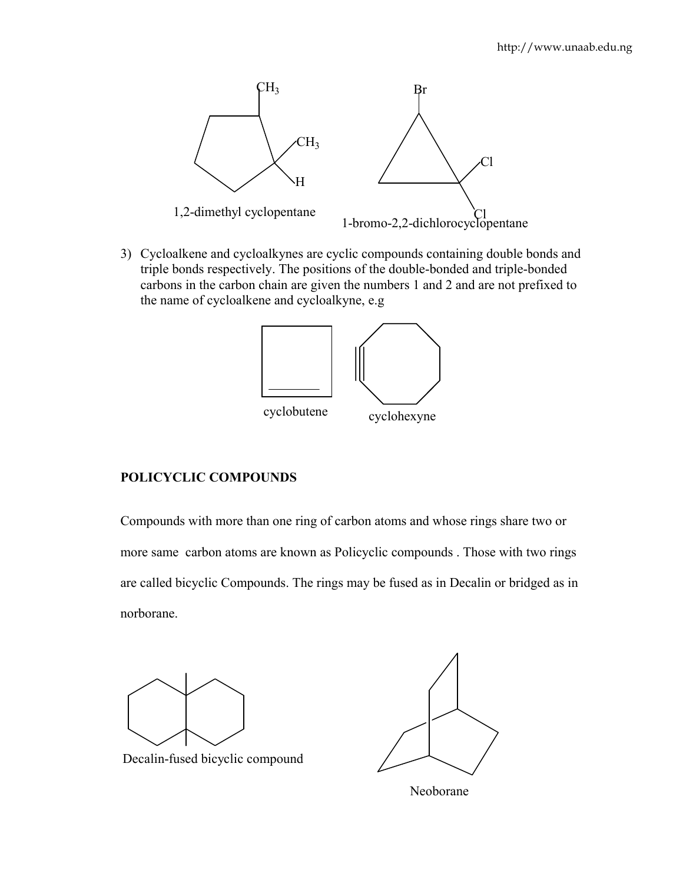

3) Cycloalkene and cycloalkynes are cyclic compounds containing double bonds and triple bonds respectively. The positions of the double-bonded and triple-bonded carbons in the carbon chain are given the numbers 1 and 2 and are not prefixed to the name of cycloalkene and cycloalkyne, e.g



# **POLICYCLIC COMPOUNDS**

Compounds with more than one ring of carbon atoms and whose rings share two or more same carbon atoms are known as Policyclic compounds . Those with two rings are called bicyclic Compounds. The rings may be fused as in Decalin or bridged as in norborane.



Decalin-fused bicyclic compound

Neoborane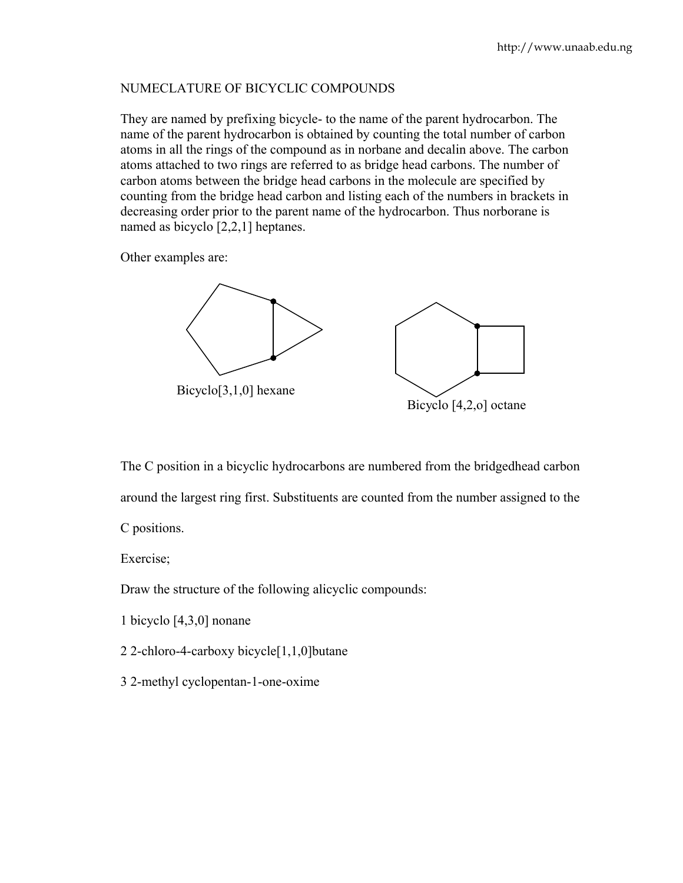# NUMECLATURE OF BICYCLIC COMPOUNDS

They are named by prefixing bicycle- to the name of the parent hydrocarbon. The name of the parent hydrocarbon is obtained by counting the total number of carbon atoms in all the rings of the compound as in norbane and decalin above. The carbon atoms attached to two rings are referred to as bridge head carbons. The number of carbon atoms between the bridge head carbons in the molecule are specified by counting from the bridge head carbon and listing each of the numbers in brackets in decreasing order prior to the parent name of the hydrocarbon. Thus norborane is named as bicyclo [2,2,1] heptanes.

Other examples are:



Bicyclo [4,2,o] octane

The C position in a bicyclic hydrocarbons are numbered from the bridgedhead carbon around the largest ring first. Substituents are counted from the number assigned to the C positions.

Exercise;

Draw the structure of the following alicyclic compounds:

- 1 bicyclo [4,3,0] nonane
- 2 2-chloro-4-carboxy bicycle[1,1,0]butane
- 3 2-methyl cyclopentan-1-one-oxime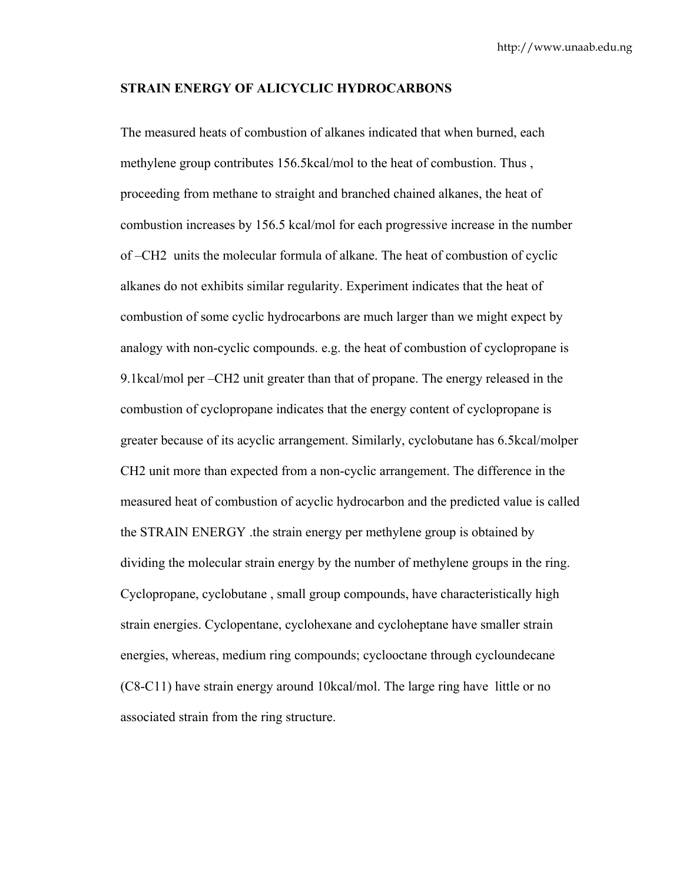#### **STRAIN ENERGY OF ALICYCLIC HYDROCARBONS**

The measured heats of combustion of alkanes indicated that when burned, each methylene group contributes 156.5kcal/mol to the heat of combustion. Thus , proceeding from methane to straight and branched chained alkanes, the heat of combustion increases by 156.5 kcal/mol for each progressive increase in the number of –CH2 units the molecular formula of alkane. The heat of combustion of cyclic alkanes do not exhibits similar regularity. Experiment indicates that the heat of combustion of some cyclic hydrocarbons are much larger than we might expect by analogy with non-cyclic compounds. e.g. the heat of combustion of cyclopropane is 9.1kcal/mol per –CH2 unit greater than that of propane. The energy released in the combustion of cyclopropane indicates that the energy content of cyclopropane is greater because of its acyclic arrangement. Similarly, cyclobutane has 6.5kcal/molper CH2 unit more than expected from a non-cyclic arrangement. The difference in the measured heat of combustion of acyclic hydrocarbon and the predicted value is called the STRAIN ENERGY .the strain energy per methylene group is obtained by dividing the molecular strain energy by the number of methylene groups in the ring. Cyclopropane, cyclobutane , small group compounds, have characteristically high strain energies. Cyclopentane, cyclohexane and cycloheptane have smaller strain energies, whereas, medium ring compounds; cyclooctane through cycloundecane (C8-C11) have strain energy around 10kcal/mol. The large ring have little or no associated strain from the ring structure.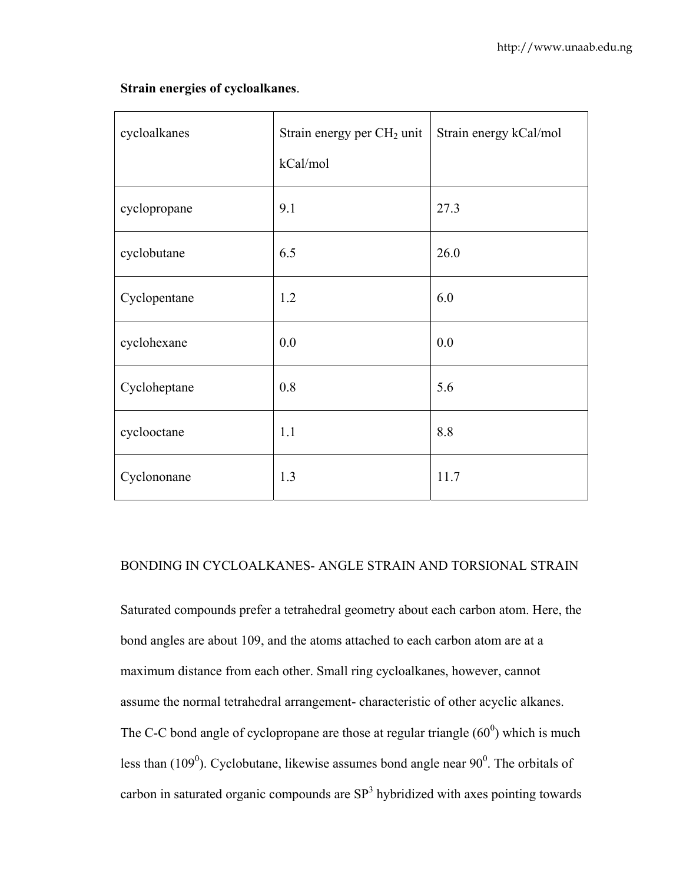# **Strain energies of cycloalkanes**.

| cycloalkanes | Strain energy per CH <sub>2</sub> unit<br>kCal/mol | Strain energy kCal/mol |
|--------------|----------------------------------------------------|------------------------|
| cyclopropane | 9.1                                                | 27.3                   |
| cyclobutane  | 6.5                                                | 26.0                   |
| Cyclopentane | 1.2                                                | 6.0                    |
| cyclohexane  | 0.0                                                | 0.0                    |
| Cycloheptane | 0.8                                                | 5.6                    |
| cyclooctane  | 1.1                                                | 8.8                    |
| Cyclononane  | 1.3                                                | 11.7                   |

## BONDING IN CYCLOALKANES- ANGLE STRAIN AND TORSIONAL STRAIN

Saturated compounds prefer a tetrahedral geometry about each carbon atom. Here, the bond angles are about 109, and the atoms attached to each carbon atom are at a maximum distance from each other. Small ring cycloalkanes, however, cannot assume the normal tetrahedral arrangement- characteristic of other acyclic alkanes. The C-C bond angle of cyclopropane are those at regular triangle  $(60^0)$  which is much less than  $(109^0)$ . Cyclobutane, likewise assumes bond angle near  $90^0$ . The orbitals of carbon in saturated organic compounds are  $SP<sup>3</sup>$  hybridized with axes pointing towards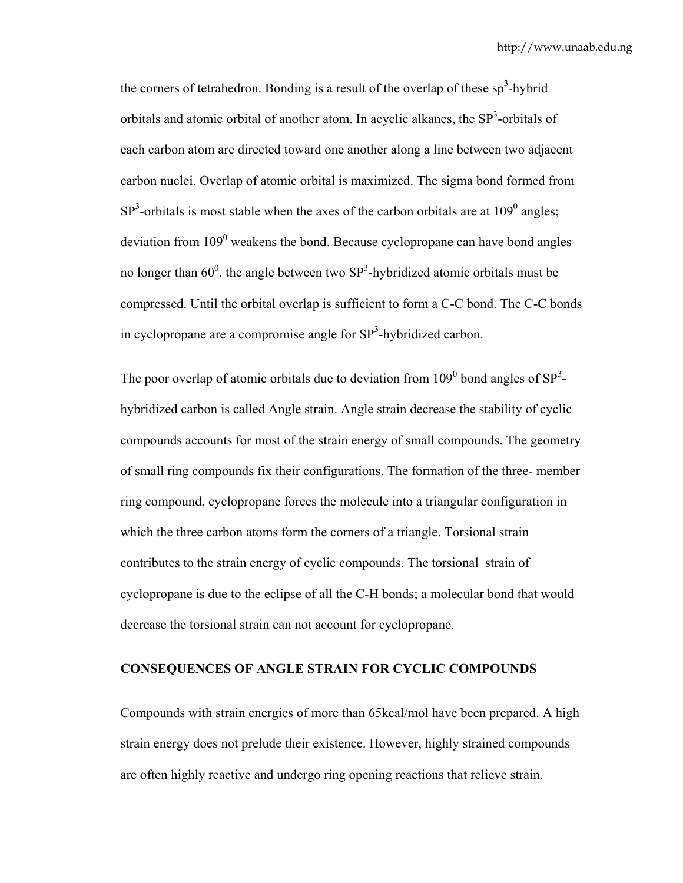the corners of tetrahedron. Bonding is a result of the overlap of these  $sp<sup>3</sup>$ -hybrid orbitals and atomic orbital of another atom. In acyclic alkanes, the  $SP<sup>3</sup>$ -orbitals of each carbon atom are directed toward one another along a line between two adjacent carbon nuclei. Overlap of atomic orbital is maximized. The sigma bond formed from  $SP<sup>3</sup>$ -orbitals is most stable when the axes of the carbon orbitals are at 109<sup>0</sup> angles; deviation from  $109^0$  weakens the bond. Because cyclopropane can have bond angles no longer than  $60^0$ , the angle between two SP<sup>3</sup>-hybridized atomic orbitals must be compressed. Until the orbital overlap is sufficient to form a C-C bond. The C-C bonds in cyclopropane are a compromise angle for  $SP<sup>3</sup>$ -hybridized carbon.

The poor overlap of atomic orbitals due to deviation from  $109^0$  bond angles of  $SP^3$ hybridized carbon is called Angle strain. Angle strain decrease the stability of cyclic compounds accounts for most of the strain energy of small compounds. The geometry of small ring compounds fix their configurations. The formation of the three- member ring compound, cyclopropane forces the molecule into a triangular configuration in which the three carbon atoms form the corners of a triangle. Torsional strain contributes to the strain energy of cyclic compounds. The torsional strain of cyclopropane is due to the eclipse of all the C-H bonds; a molecular bond that would decrease the torsional strain can not account for cyclopropane.

## **CONSEQUENCES OF ANGLE STRAIN FOR CYCLIC COMPOUNDS**

Compounds with strain energies of more than 65kcal/mol have been prepared. A high strain energy does not prelude their existence. However, highly strained compounds are often highly reactive and undergo ring opening reactions that relieve strain.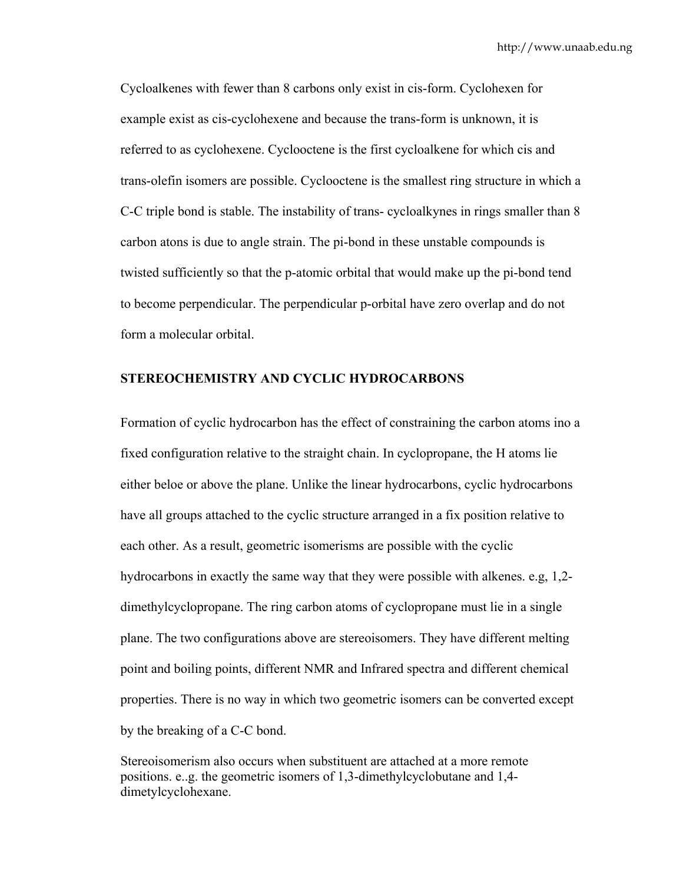Cycloalkenes with fewer than 8 carbons only exist in cis-form. Cyclohexen for example exist as cis-cyclohexene and because the trans-form is unknown, it is referred to as cyclohexene. Cyclooctene is the first cycloalkene for which cis and trans-olefin isomers are possible. Cyclooctene is the smallest ring structure in which a C-C triple bond is stable. The instability of trans- cycloalkynes in rings smaller than 8 carbon atons is due to angle strain. The pi-bond in these unstable compounds is twisted sufficiently so that the p-atomic orbital that would make up the pi-bond tend to become perpendicular. The perpendicular p-orbital have zero overlap and do not form a molecular orbital.

#### **STEREOCHEMISTRY AND CYCLIC HYDROCARBONS**

Formation of cyclic hydrocarbon has the effect of constraining the carbon atoms ino a fixed configuration relative to the straight chain. In cyclopropane, the H atoms lie either beloe or above the plane. Unlike the linear hydrocarbons, cyclic hydrocarbons have all groups attached to the cyclic structure arranged in a fix position relative to each other. As a result, geometric isomerisms are possible with the cyclic hydrocarbons in exactly the same way that they were possible with alkenes. e.g, 1,2 dimethylcyclopropane. The ring carbon atoms of cyclopropane must lie in a single plane. The two configurations above are stereoisomers. They have different melting point and boiling points, different NMR and Infrared spectra and different chemical properties. There is no way in which two geometric isomers can be converted except by the breaking of a C-C bond.

Stereoisomerism also occurs when substituent are attached at a more remote positions. e..g. the geometric isomers of 1,3-dimethylcyclobutane and 1,4 dimetylcyclohexane.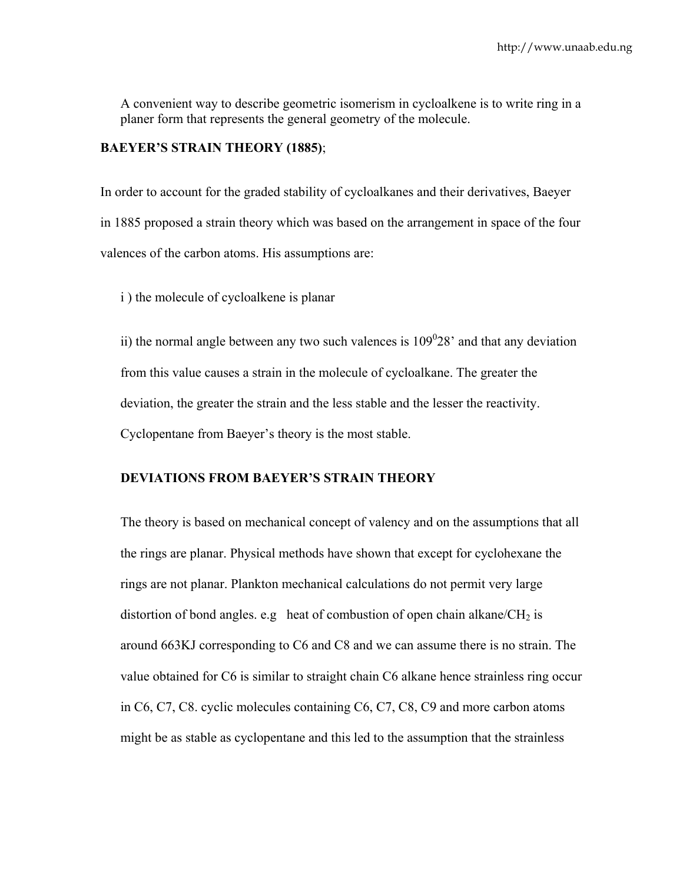A convenient way to describe geometric isomerism in cycloalkene is to write ring in a planer form that represents the general geometry of the molecule.

# **BAEYER'S STRAIN THEORY (1885)**;

In order to account for the graded stability of cycloalkanes and their derivatives, Baeyer in 1885 proposed a strain theory which was based on the arrangement in space of the four valences of the carbon atoms. His assumptions are:

i ) the molecule of cycloalkene is planar

ii) the normal angle between any two such valences is  $109^028$  and that any deviation from this value causes a strain in the molecule of cycloalkane. The greater the deviation, the greater the strain and the less stable and the lesser the reactivity. Cyclopentane from Baeyer's theory is the most stable.

## **DEVIATIONS FROM BAEYER'S STRAIN THEORY**

The theory is based on mechanical concept of valency and on the assumptions that all the rings are planar. Physical methods have shown that except for cyclohexane the rings are not planar. Plankton mechanical calculations do not permit very large distortion of bond angles. e.g heat of combustion of open chain alkane/CH<sub>2</sub> is around 663KJ corresponding to C6 and C8 and we can assume there is no strain. The value obtained for C6 is similar to straight chain C6 alkane hence strainless ring occur in C6, C7, C8. cyclic molecules containing C6, C7, C8, C9 and more carbon atoms might be as stable as cyclopentane and this led to the assumption that the strainless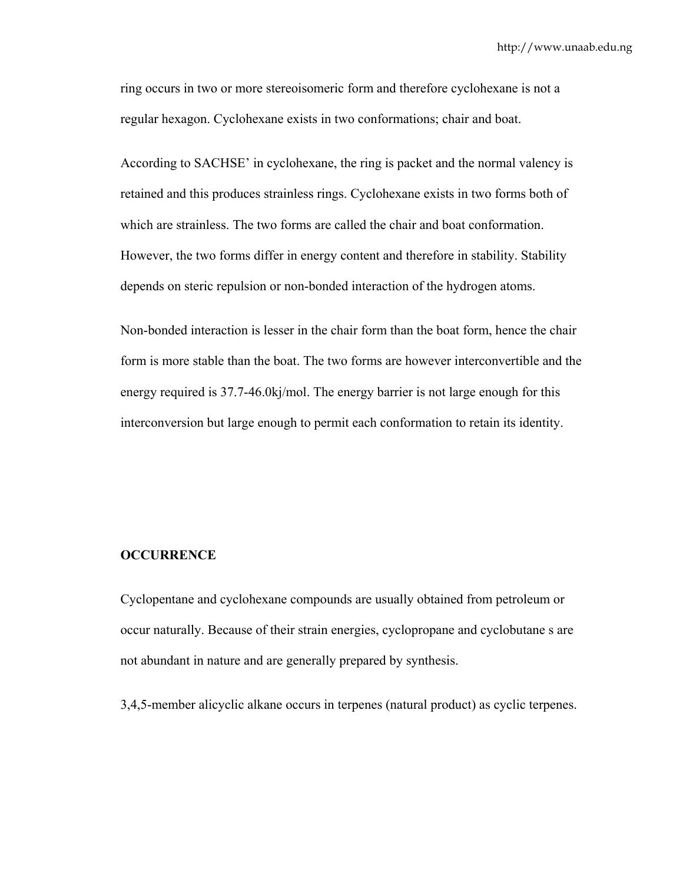ring occurs in two or more stereoisomeric form and therefore cyclohexane is not a regular hexagon. Cyclohexane exists in two conformations; chair and boat.

According to SACHSE' in cyclohexane, the ring is packet and the normal valency is retained and this produces strainless rings. Cyclohexane exists in two forms both of which are strainless. The two forms are called the chair and boat conformation. However, the two forms differ in energy content and therefore in stability. Stability depends on steric repulsion or non-bonded interaction of the hydrogen atoms.

Non-bonded interaction is lesser in the chair form than the boat form, hence the chair form is more stable than the boat. The two forms are however interconvertible and the energy required is 37.7-46.0kj/mol. The energy barrier is not large enough for this interconversion but large enough to permit each conformation to retain its identity.

#### **OCCURRENCE**

Cyclopentane and cyclohexane compounds are usually obtained from petroleum or occur naturally. Because of their strain energies, cyclopropane and cyclobutane s are not abundant in nature and are generally prepared by synthesis.

3,4,5-member alicyclic alkane occurs in terpenes (natural product) as cyclic terpenes.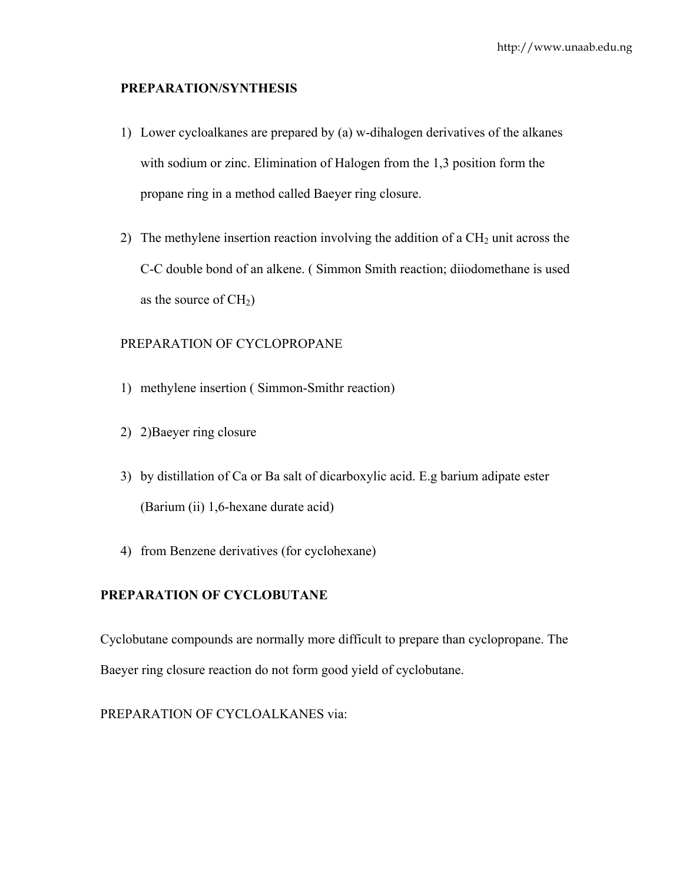## **PREPARATION/SYNTHESIS**

- 1) Lower cycloalkanes are prepared by (a) w-dihalogen derivatives of the alkanes with sodium or zinc. Elimination of Halogen from the 1,3 position form the propane ring in a method called Baeyer ring closure.
- 2) The methylene insertion reaction involving the addition of a  $CH<sub>2</sub>$  unit across the C-C double bond of an alkene. ( Simmon Smith reaction; diiodomethane is used as the source of  $CH<sub>2</sub>$ )

# PREPARATION OF CYCLOPROPANE

- 1) methylene insertion ( Simmon-Smithr reaction)
- 2) 2)Baeyer ring closure
- 3) by distillation of Ca or Ba salt of dicarboxylic acid. E.g barium adipate ester (Barium (ii) 1,6-hexane durate acid)
- 4) from Benzene derivatives (for cyclohexane)

# **PREPARATION OF CYCLOBUTANE**

Cyclobutane compounds are normally more difficult to prepare than cyclopropane. The Baeyer ring closure reaction do not form good yield of cyclobutane.

PREPARATION OF CYCLOALKANES via: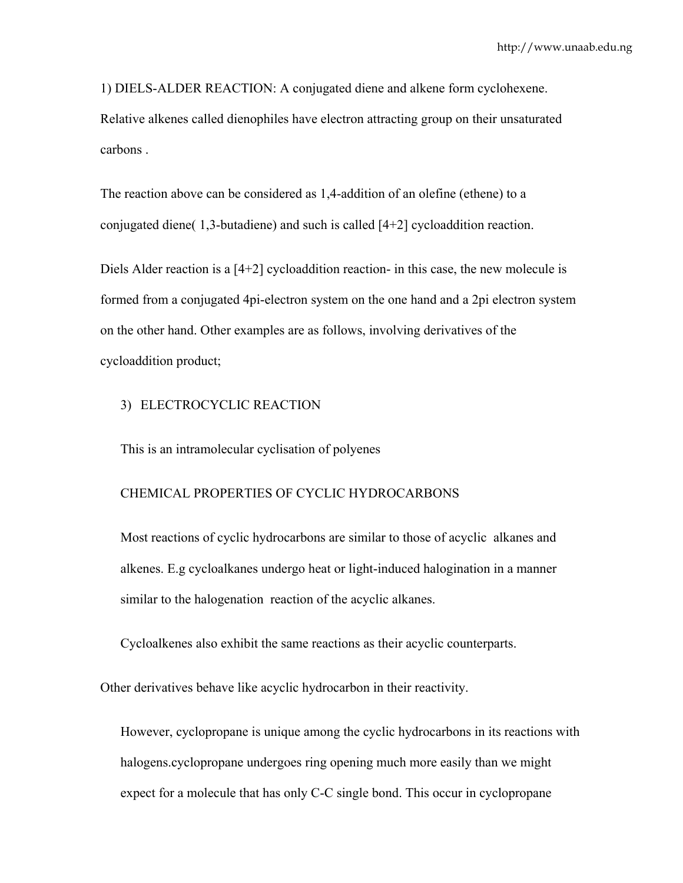1) DIELS-ALDER REACTION: A conjugated diene and alkene form cyclohexene.

Relative alkenes called dienophiles have electron attracting group on their unsaturated carbons .

The reaction above can be considered as 1,4-addition of an olefine (ethene) to a conjugated diene( 1,3-butadiene) and such is called [4+2] cycloaddition reaction.

Diels Alder reaction is a [4+2] cycloaddition reaction- in this case, the new molecule is formed from a conjugated 4pi-electron system on the one hand and a 2pi electron system on the other hand. Other examples are as follows, involving derivatives of the cycloaddition product;

#### 3) ELECTROCYCLIC REACTION

This is an intramolecular cyclisation of polyenes

#### CHEMICAL PROPERTIES OF CYCLIC HYDROCARBONS

Most reactions of cyclic hydrocarbons are similar to those of acyclic alkanes and alkenes. E.g cycloalkanes undergo heat or light-induced halogination in a manner similar to the halogenation reaction of the acyclic alkanes.

Cycloalkenes also exhibit the same reactions as their acyclic counterparts.

Other derivatives behave like acyclic hydrocarbon in their reactivity.

However, cyclopropane is unique among the cyclic hydrocarbons in its reactions with halogens.cyclopropane undergoes ring opening much more easily than we might expect for a molecule that has only C-C single bond. This occur in cyclopropane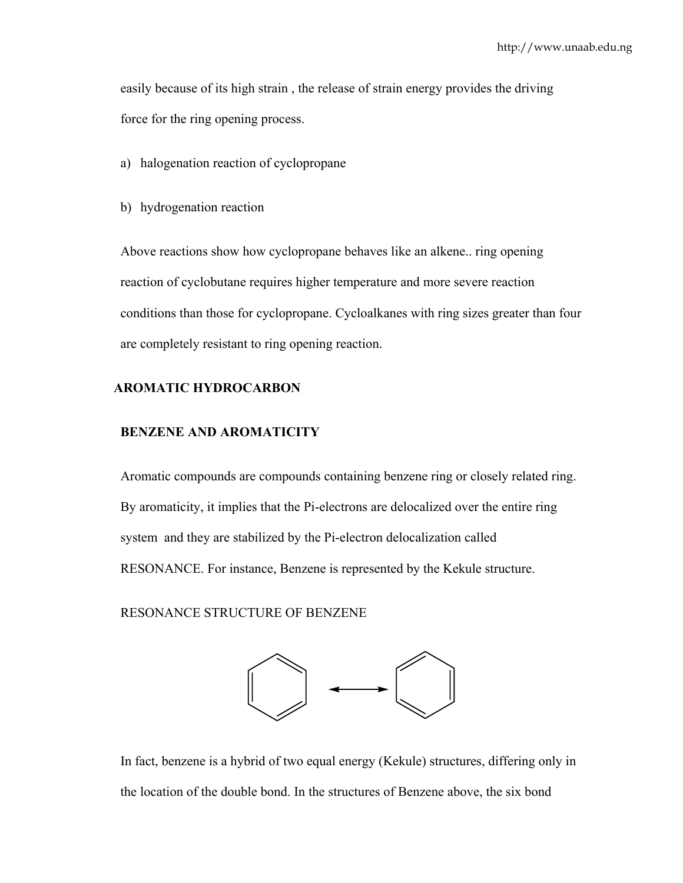easily because of its high strain , the release of strain energy provides the driving force for the ring opening process.

a) halogenation reaction of cyclopropane

b) hydrogenation reaction

Above reactions show how cyclopropane behaves like an alkene.. ring opening reaction of cyclobutane requires higher temperature and more severe reaction conditions than those for cyclopropane. Cycloalkanes with ring sizes greater than four are completely resistant to ring opening reaction.

# **AROMATIC HYDROCARBON**

# **BENZENE AND AROMATICITY**

Aromatic compounds are compounds containing benzene ring or closely related ring. By aromaticity, it implies that the Pi-electrons are delocalized over the entire ring system and they are stabilized by the Pi-electron delocalization called RESONANCE. For instance, Benzene is represented by the Kekule structure.

RESONANCE STRUCTURE OF BENZENE



In fact, benzene is a hybrid of two equal energy (Kekule) structures, differing only in the location of the double bond. In the structures of Benzene above, the six bond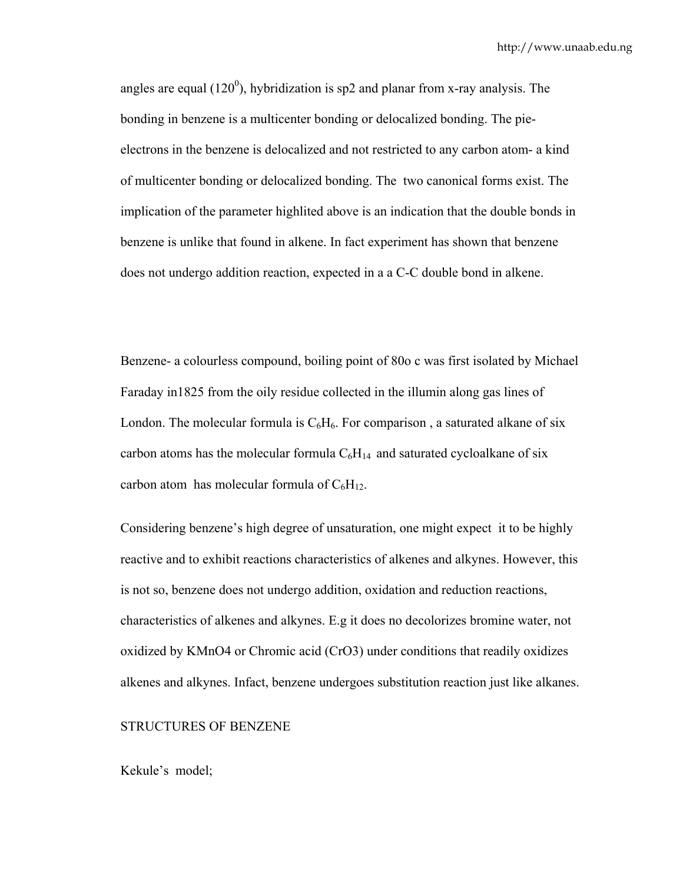angles are equal (120 $^{\circ}$ ), hybridization is sp2 and planar from x-ray analysis. The bonding in benzene is a multicenter bonding or delocalized bonding. The pieelectrons in the benzene is delocalized and not restricted to any carbon atom- a kind of multicenter bonding or delocalized bonding. The two canonical forms exist. The implication of the parameter highlited above is an indication that the double bonds in benzene is unlike that found in alkene. In fact experiment has shown that benzene does not undergo addition reaction, expected in a a C-C double bond in alkene.

Benzene- a colourless compound, boiling point of 80o c was first isolated by Michael Faraday in1825 from the oily residue collected in the illumin along gas lines of London. The molecular formula is  $C_6H_6$ . For comparison, a saturated alkane of six carbon atoms has the molecular formula  $C_6H_{14}$  and saturated cycloalkane of six carbon atom has molecular formula of  $C_6H_{12}$ .

Considering benzene's high degree of unsaturation, one might expect it to be highly reactive and to exhibit reactions characteristics of alkenes and alkynes. However, this is not so, benzene does not undergo addition, oxidation and reduction reactions, characteristics of alkenes and alkynes. E.g it does no decolorizes bromine water, not oxidized by KMnO4 or Chromic acid (CrO3) under conditions that readily oxidizes alkenes and alkynes. Infact, benzene undergoes substitution reaction just like alkanes.

#### STRUCTURES OF BENZENE

Kekule's model;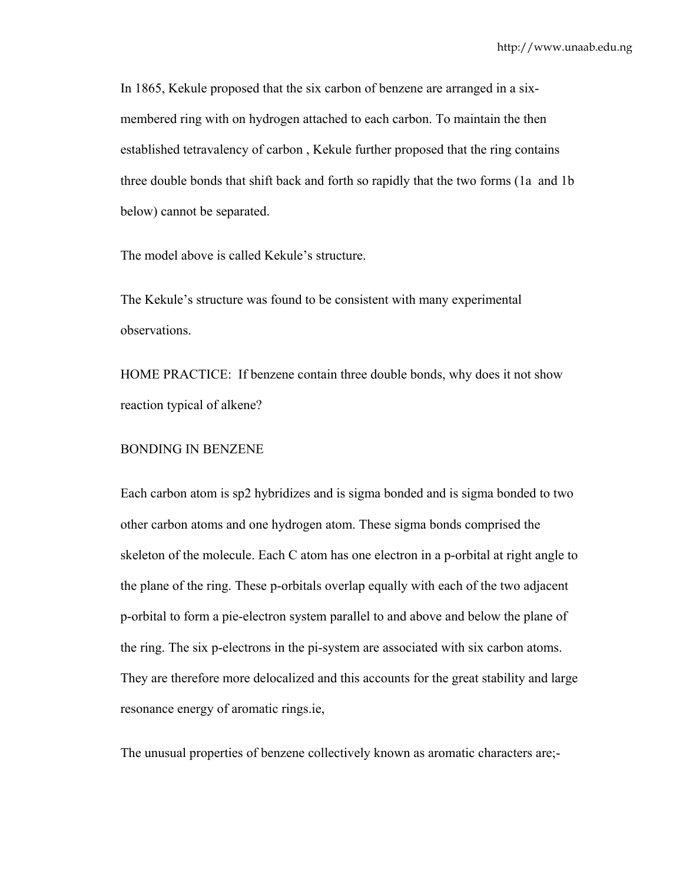In 1865, Kekule proposed that the six carbon of benzene are arranged in a sixmembered ring with on hydrogen attached to each carbon. To maintain the then established tetravalency of carbon , Kekule further proposed that the ring contains three double bonds that shift back and forth so rapidly that the two forms (1a and 1b below) cannot be separated.

The model above is called Kekule's structure.

The Kekule's structure was found to be consistent with many experimental observations.

HOME PRACTICE: If benzene contain three double bonds, why does it not show reaction typical of alkene?

## BONDING IN BENZENE

Each carbon atom is sp2 hybridizes and is sigma bonded and is sigma bonded to two other carbon atoms and one hydrogen atom. These sigma bonds comprised the skeleton of the molecule. Each C atom has one electron in a p-orbital at right angle to the plane of the ring. These p-orbitals overlap equally with each of the two adjacent p-orbital to form a pie-electron system parallel to and above and below the plane of the ring. The six p-electrons in the pi-system are associated with six carbon atoms. They are therefore more delocalized and this accounts for the great stability and large resonance energy of aromatic rings.ie,

The unusual properties of benzene collectively known as aromatic characters are;-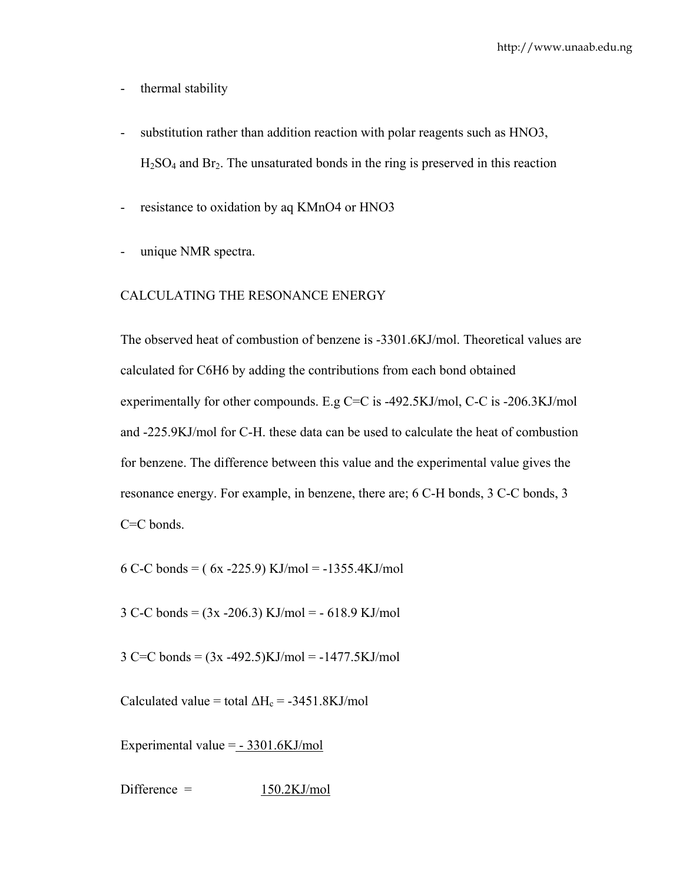- thermal stability
- substitution rather than addition reaction with polar reagents such as HNO3,  $H<sub>2</sub>SO<sub>4</sub>$  and Br<sub>2</sub>. The unsaturated bonds in the ring is preserved in this reaction
- resistance to oxidation by aq KMnO4 or HNO3
- unique NMR spectra.

## CALCULATING THE RESONANCE ENERGY

The observed heat of combustion of benzene is -3301.6KJ/mol. Theoretical values are calculated for C6H6 by adding the contributions from each bond obtained experimentally for other compounds. E.g C=C is -492.5KJ/mol, C-C is -206.3KJ/mol and -225.9KJ/mol for C-H. these data can be used to calculate the heat of combustion for benzene. The difference between this value and the experimental value gives the resonance energy. For example, in benzene, there are; 6 C-H bonds, 3 C-C bonds, 3 C=C bonds.

6 C-C bonds =  $(6x - 225.9)$  KJ/mol =  $-1355.4$ KJ/mol

3 C-C bonds =  $(3x - 206.3)$  KJ/mol =  $-618.9$  KJ/mol

 $3 \text{ C=C bonds} = (3x - 492.5) \text{KJ/mol} = -1477.5 \text{KJ/mol}$ 

Calculated value = total  $\Delta H_c$  = -3451.8KJ/mol

Experimental value  $=$   $-3301.6$ KJ/mol

 $Difference = 150.2KJ/mol$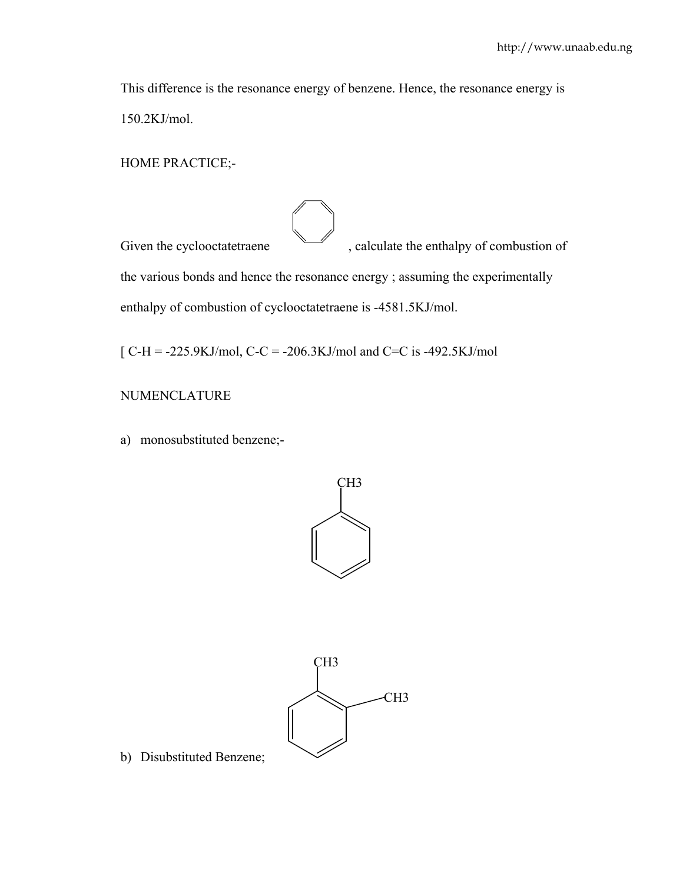This difference is the resonance energy of benzene. Hence, the resonance energy is 150.2KJ/mol.

HOME PRACTICE;-

Given the cyclooctatetraene  $\sim$ , calculate the enthalpy of combustion of the various bonds and hence the resonance energy ; assuming the experimentally enthalpy of combustion of cyclooctatetraene is -4581.5KJ/mol.

 $[ C-H = -225.9KJ/mol, C-C = -206.3KJ/mol$  and  $C=C$  is -492.5KJ/mol

NUMENCLATURE

a) monosubstituted benzene;-





b) Disubstituted Benzene;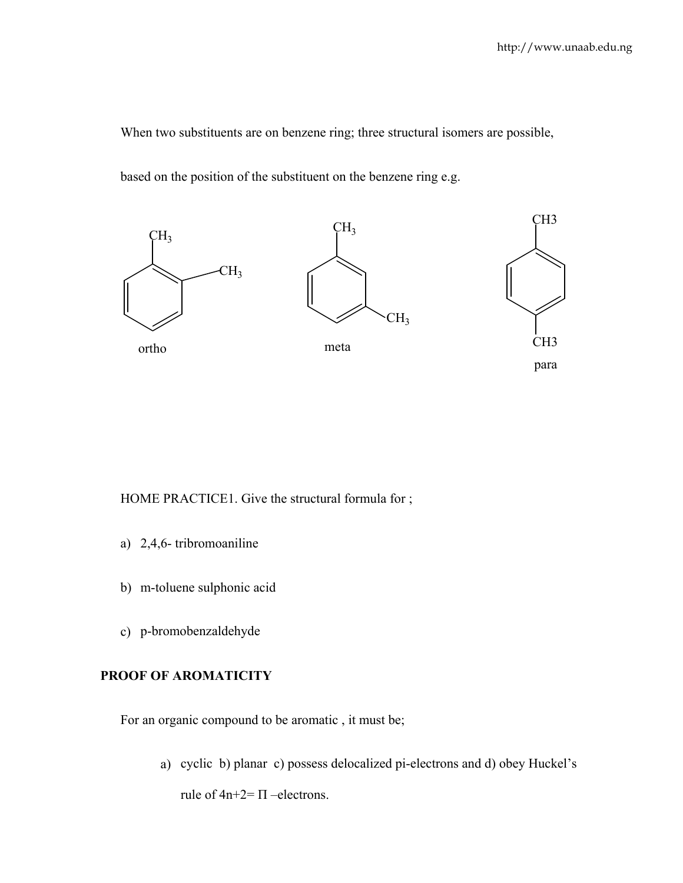When two substituents are on benzene ring; three structural isomers are possible,

based on the position of the substituent on the benzene ring e.g.



HOME PRACTICE1. Give the structural formula for;

- a) 2,4,6- tribromoaniline
- b) m-toluene sulphonic acid
- c) p-bromobenzaldehyde

# **PROOF OF AROMATICITY**

For an organic compound to be aromatic , it must be;

a) cyclic b) planar c) possess delocalized pi-electrons and d) obey Huckel's

rule of  $4n+2=$   $\Pi$  –electrons.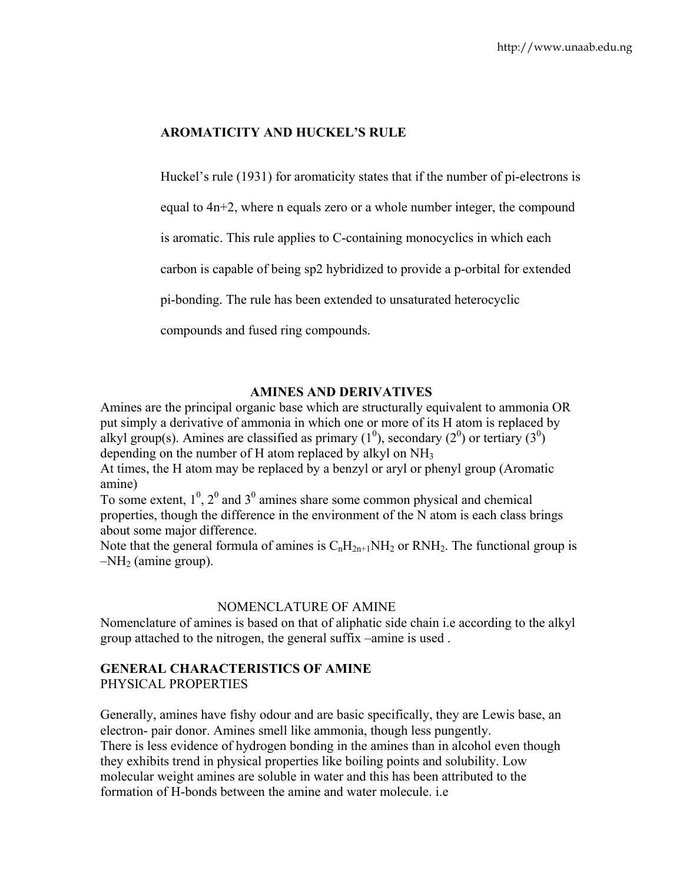# **AROMATICITY AND HUCKEL'S RULE**

Huckel's rule (1931) for aromaticity states that if the number of pi-electrons is

equal to 4n+2, where n equals zero or a whole number integer, the compound

is aromatic. This rule applies to C-containing monocyclics in which each

carbon is capable of being sp2 hybridized to provide a p-orbital for extended

pi-bonding. The rule has been extended to unsaturated heterocyclic

compounds and fused ring compounds.

# **AMINES AND DERIVATIVES**

Amines are the principal organic base which are structurally equivalent to ammonia OR put simply a derivative of ammonia in which one or more of its H atom is replaced by alkyl group(s). Amines are classified as primary  $(1^0)$ , secondary  $(2^0)$  or tertiary  $(3^0)$ depending on the number of H atom replaced by alkyl on NH3

At times, the H atom may be replaced by a benzyl or aryl or phenyl group (Aromatic amine)

To some extent,  $1^0$ ,  $2^0$  and  $3^0$  amines share some common physical and chemical properties, though the difference in the environment of the N atom is each class brings about some major difference.

Note that the general formula of amines is  $C_nH_{2n+1}NH_2$  or RNH<sub>2</sub>. The functional group is  $-NH<sub>2</sub>$  (amine group).

## NOMENCLATURE OF AMINE

Nomenclature of amines is based on that of aliphatic side chain i.e according to the alkyl group attached to the nitrogen, the general suffix –amine is used .

# **GENERAL CHARACTERISTICS OF AMINE**

PHYSICAL PROPERTIES

Generally, amines have fishy odour and are basic specifically, they are Lewis base, an electron- pair donor. Amines smell like ammonia, though less pungently. There is less evidence of hydrogen bonding in the amines than in alcohol even though they exhibits trend in physical properties like boiling points and solubility. Low molecular weight amines are soluble in water and this has been attributed to the formation of H-bonds between the amine and water molecule. i.e